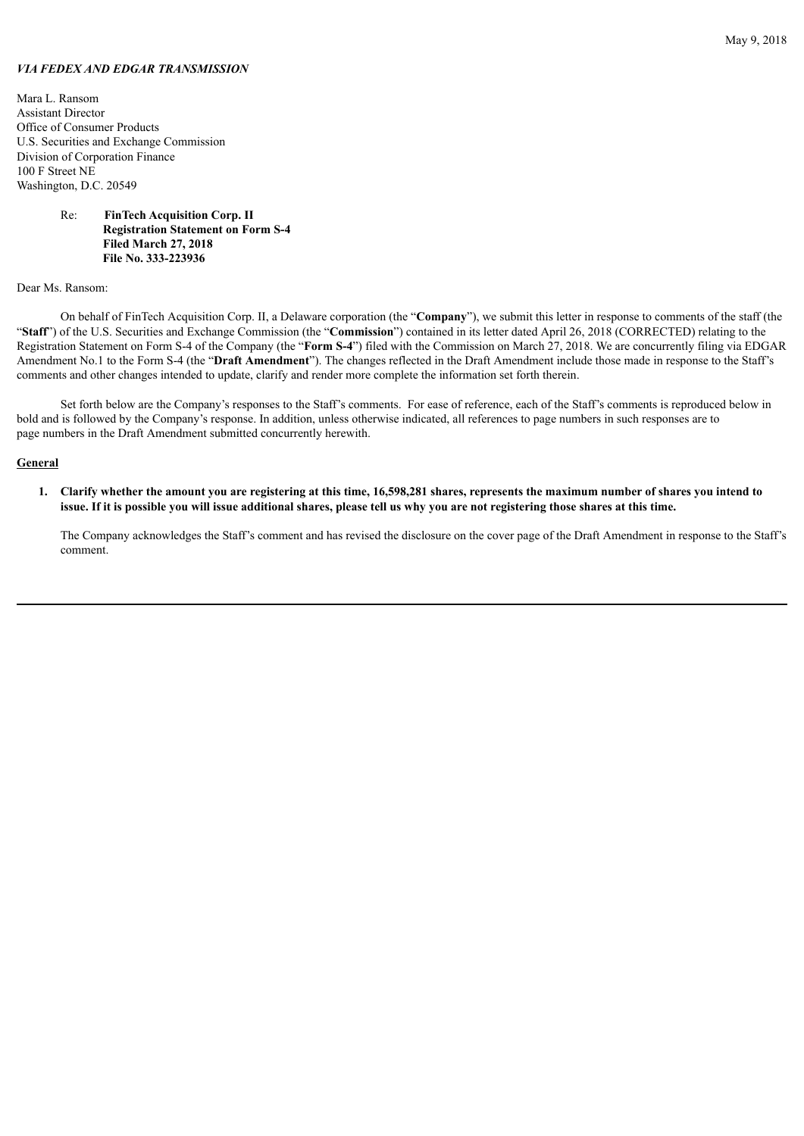# *VIA FEDEX AND EDGAR TRANSMISSION*

Mara L. Ransom Assistant Director Office of Consumer Products U.S. Securities and Exchange Commission Division of Corporation Finance 100 F Street NE Washington, D.C. 20549

# Re: **FinTech Acquisition Corp. II Registration Statement on Form S-4 Filed March 27, 2018 File No. 333-223936**

#### Dear Ms. Ransom:

On behalf of FinTech Acquisition Corp. II, a Delaware corporation (the "**Company**"), we submit this letter in response to comments of the staff (the "**Staff**") of the U.S. Securities and Exchange Commission (the "**Commission**") contained in its letter dated April 26, 2018 (CORRECTED) relating to the Registration Statement on Form S-4 of the Company (the "**Form S-4**") filed with the Commission on March 27, 2018. We are concurrently filing via EDGAR Amendment No.1 to the Form S-4 (the "**Draft Amendment**"). The changes reflected in the Draft Amendment include those made in response to the Staff's comments and other changes intended to update, clarify and render more complete the information set forth therein.

Set forth below are the Company's responses to the Staff's comments. For ease of reference, each of the Staff's comments is reproduced below in bold and is followed by the Company's response. In addition, unless otherwise indicated, all references to page numbers in such responses are to page numbers in the Draft Amendment submitted concurrently herewith.

# **General**

1. Clarify whether the amount you are registering at this time, 16,598,281 shares, represents the maximum number of shares you intend to issue. If it is possible you will issue additional shares, please tell us why you are not registering those shares at this time.

The Company acknowledges the Staff's comment and has revised the disclosure on the cover page of the Draft Amendment in response to the Staff's comment.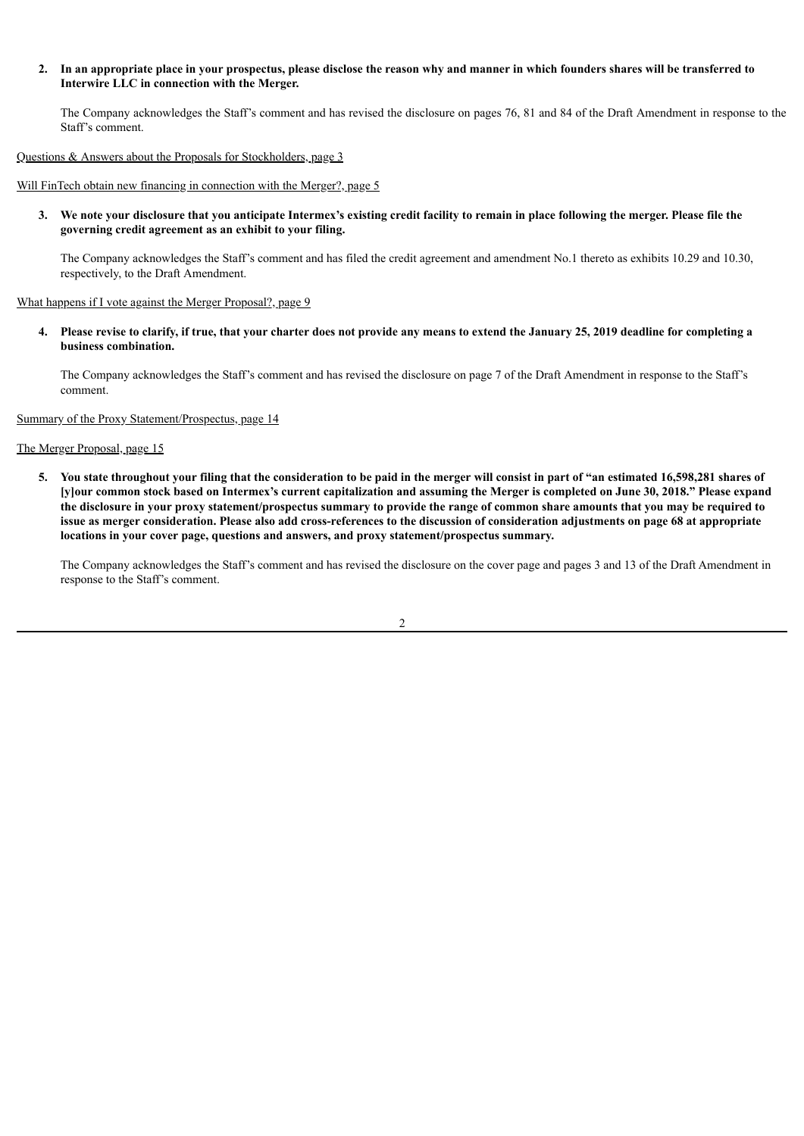2. In an appropriate place in your prospectus, please disclose the reason why and manner in which founders shares will be transferred to **Interwire LLC in connection with the Merger.**

The Company acknowledges the Staff's comment and has revised the disclosure on pages 76, 81 and 84 of the Draft Amendment in response to the Staff's comment.

## Questions & Answers about the Proposals for Stockholders, page 3

Will FinTech obtain new financing in connection with the Merger?, page 5

3. We note your disclosure that you anticipate Intermex's existing credit facility to remain in place following the merger. Please file the **governing credit agreement as an exhibit to your filing.**

The Company acknowledges the Staff's comment and has filed the credit agreement and amendment No.1 thereto as exhibits 10.29 and 10.30, respectively, to the Draft Amendment.

What happens if I vote against the Merger Proposal?, page 9

4. Please revise to clarify, if true, that your charter does not provide any means to extend the January 25, 2019 deadline for completing a **business combination.**

The Company acknowledges the Staff's comment and has revised the disclosure on page 7 of the Draft Amendment in response to the Staff's comment.

Summary of the Proxy Statement/Prospectus, page 14

The Merger Proposal, page 15

5. You state throughout your filing that the consideration to be paid in the merger will consist in part of "an estimated 16,598,281 shares of [y]our common stock based on Intermex's current capitalization and assuming the Merger is completed on June 30, 2018." Please expand the disclosure in your proxy statement/prospectus summary to provide the range of common share amounts that you may be required to issue as merger consideration. Please also add cross-references to the discussion of consideration adjustments on page 68 at appropriate **locations in your cover page, questions and answers, and proxy statement/prospectus summary.**

The Company acknowledges the Staff's comment and has revised the disclosure on the cover page and pages 3 and 13 of the Draft Amendment in response to the Staff's comment.

 $\mathfrak{D}$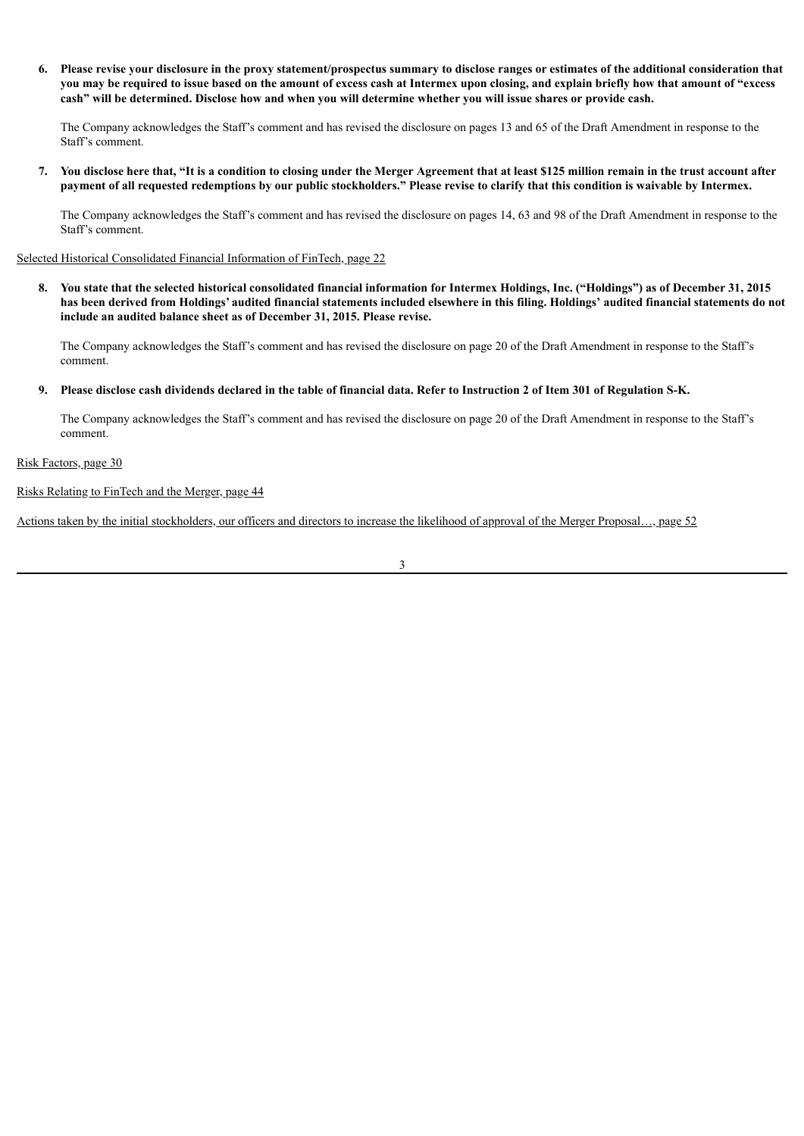6. Please revise your disclosure in the proxy statement/prospectus summary to disclose ranges or estimates of the additional consideration that you may be required to issue based on the amount of excess cash at Intermex upon closing, and explain briefly how that amount of "excess cash" will be determined. Disclose how and when you will determine whether you will issue shares or provide cash.

The Company acknowledges the Staff's comment and has revised the disclosure on pages 13 and 65 of the Draft Amendment in response to the Staff's comment.

7. You disclose here that, "It is a condition to closing under the Merger Agreement that at least \$125 million remain in the trust account after payment of all requested redemptions by our public stockholders." Please revise to clarify that this condition is waivable by Intermex.

The Company acknowledges the Staff's comment and has revised the disclosure on pages 14, 63 and 98 of the Draft Amendment in response to the Staff's comment.

Selected Historical Consolidated Financial Information of FinTech, page 22

8. You state that the selected historical consolidated financial information for Intermex Holdings, Inc. ("Holdings") as of December 31, 2015 has been derived from Holdings' audited financial statements included elsewhere in this filing. Holdings' audited financial statements do not **include an audited balance sheet as of December 31, 2015. Please revise.**

The Company acknowledges the Staff's comment and has revised the disclosure on page 20 of the Draft Amendment in response to the Staff's comment.

#### 9. Please disclose cash dividends declared in the table of financial data. Refer to Instruction 2 of Item 301 of Regulation S-K.

The Company acknowledges the Staff's comment and has revised the disclosure on page 20 of the Draft Amendment in response to the Staff's comment.

Risk Factors, page 30

Risks Relating to FinTech and the Merger, page 44

Actions taken by the initial stockholders, our officers and directors to increase the likelihood of approval of the Merger Proposal…, page 52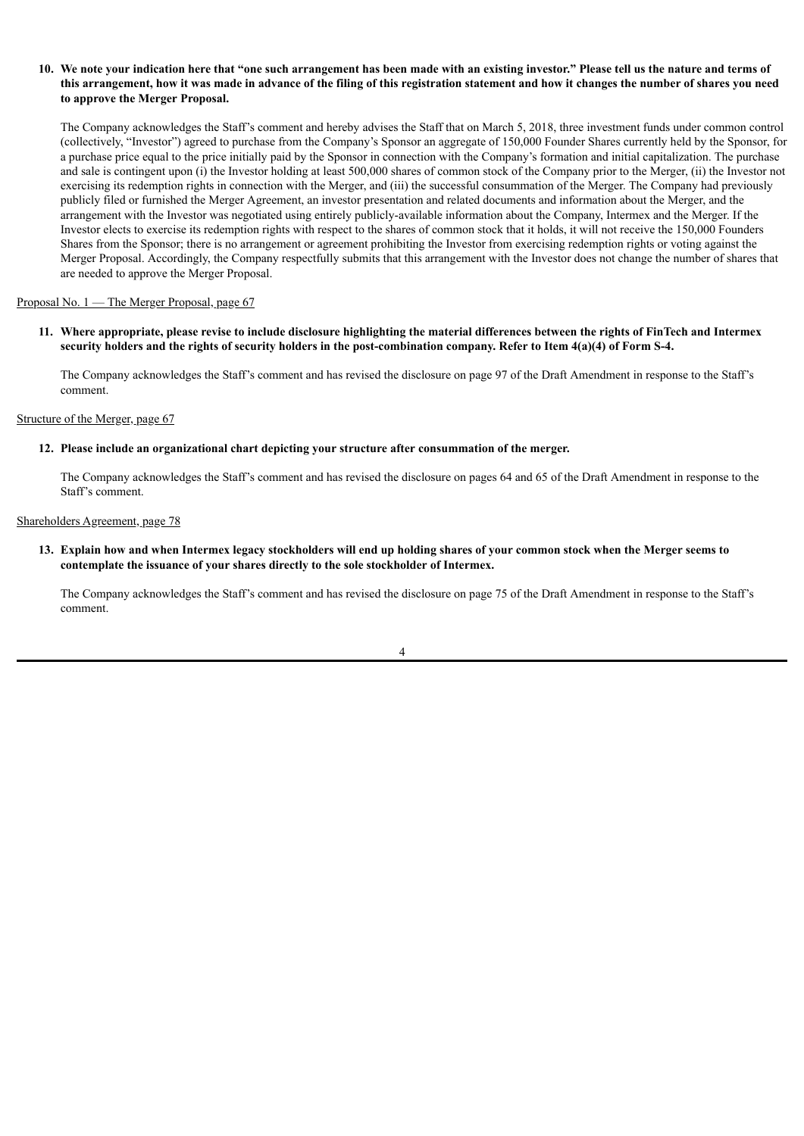# 10. We note your indication here that "one such arrangement has been made with an existing investor." Please tell us the nature and terms of this arrangement, how it was made in advance of the filing of this registration statement and how it changes the number of shares you need **to approve the Merger Proposal.**

The Company acknowledges the Staff's comment and hereby advises the Staff that on March 5, 2018, three investment funds under common control (collectively, "Investor") agreed to purchase from the Company's Sponsor an aggregate of 150,000 Founder Shares currently held by the Sponsor, for a purchase price equal to the price initially paid by the Sponsor in connection with the Company's formation and initial capitalization. The purchase and sale is contingent upon (i) the Investor holding at least 500,000 shares of common stock of the Company prior to the Merger, (ii) the Investor not exercising its redemption rights in connection with the Merger, and (iii) the successful consummation of the Merger. The Company had previously publicly filed or furnished the Merger Agreement, an investor presentation and related documents and information about the Merger, and the arrangement with the Investor was negotiated using entirely publicly-available information about the Company, Intermex and the Merger. If the Investor elects to exercise its redemption rights with respect to the shares of common stock that it holds, it will not receive the 150,000 Founders Shares from the Sponsor; there is no arrangement or agreement prohibiting the Investor from exercising redemption rights or voting against the Merger Proposal. Accordingly, the Company respectfully submits that this arrangement with the Investor does not change the number of shares that are needed to approve the Merger Proposal.

## Proposal No. 1 — The Merger Proposal, page 67

# 11. Where appropriate, please revise to include disclosure highlighting the material differences between the rights of FinTech and Intermex security holders and the rights of security holders in the post-combination company. Refer to Item 4(a)(4) of Form S-4.

The Company acknowledges the Staff's comment and has revised the disclosure on page 97 of the Draft Amendment in response to the Staff's comment.

# Structure of the Merger, page 67

## **12. Please include an organizational chart depicting your structure after consummation of the merger.**

The Company acknowledges the Staff's comment and has revised the disclosure on pages 64 and 65 of the Draft Amendment in response to the Staff's comment.

#### Shareholders Agreement, page 78

13. Explain how and when Intermex legacy stockholders will end up holding shares of your common stock when the Merger seems to **contemplate the issuance of your shares directly to the sole stockholder of Intermex.**

The Company acknowledges the Staff's comment and has revised the disclosure on page 75 of the Draft Amendment in response to the Staff's comment.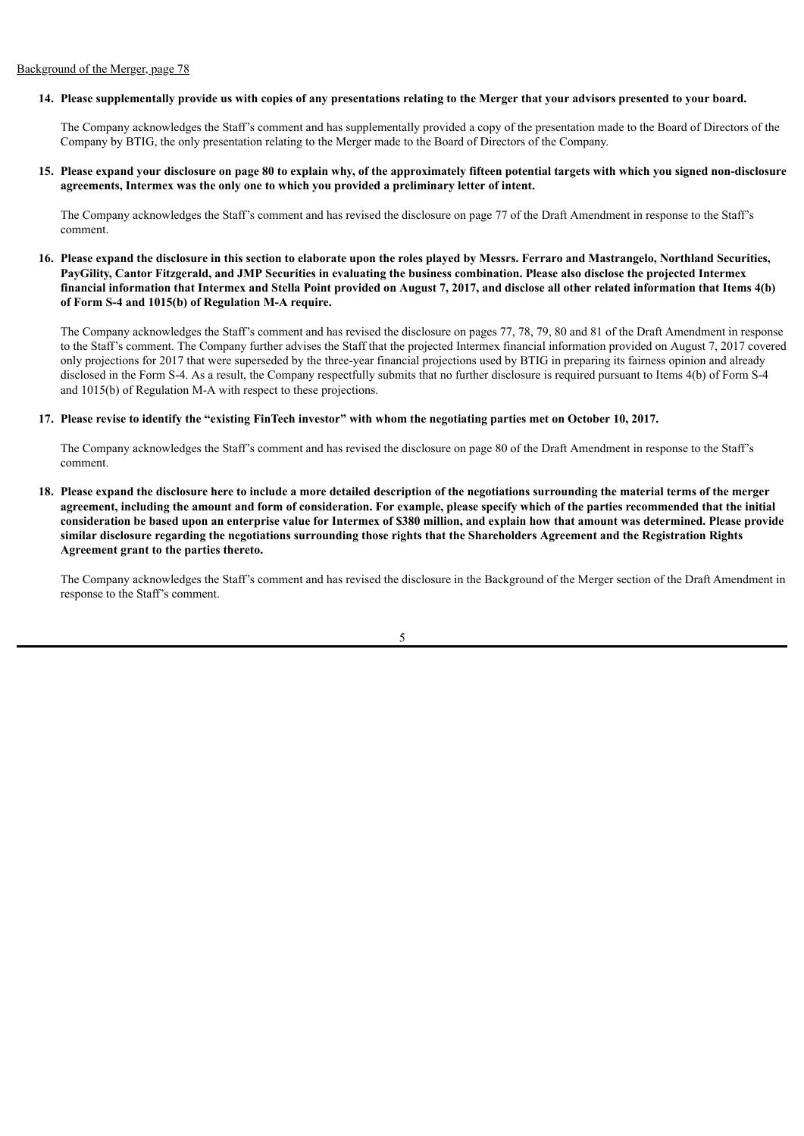### 14. Please supplementally provide us with copies of any presentations relating to the Merger that your advisors presented to your board.

The Company acknowledges the Staff's comment and has supplementally provided a copy of the presentation made to the Board of Directors of the Company by BTIG, the only presentation relating to the Merger made to the Board of Directors of the Company.

15. Please expand your disclosure on page 80 to explain why, of the approximately fifteen potential targets with which you signed non-disclosure **agreements, Intermex was the only one to which you provided a preliminary letter of intent.**

The Company acknowledges the Staff's comment and has revised the disclosure on page 77 of the Draft Amendment in response to the Staff's comment.

16. Please expand the disclosure in this section to elaborate upon the roles played by Messrs. Ferraro and Mastrangelo, Northland Securities, PayGility, Cantor Fitzgerald, and JMP Securities in evaluating the business combination. Please also disclose the projected Intermex financial information that Intermex and Stella Point provided on August 7, 2017, and disclose all other related information that Items 4(b) **of Form S-4 and 1015(b) of Regulation M-A require.**

The Company acknowledges the Staff's comment and has revised the disclosure on pages 77, 78, 79, 80 and 81 of the Draft Amendment in response to the Staff's comment. The Company further advises the Staff that the projected Intermex financial information provided on August 7, 2017 covered only projections for 2017 that were superseded by the three-year financial projections used by BTIG in preparing its fairness opinion and already disclosed in the Form S-4. As a result, the Company respectfully submits that no further disclosure is required pursuant to Items 4(b) of Form S-4 and 1015(b) of Regulation M-A with respect to these projections.

#### 17. Please revise to identify the "existing FinTech investor" with whom the negotiating parties met on October 10, 2017.

The Company acknowledges the Staff's comment and has revised the disclosure on page 80 of the Draft Amendment in response to the Staff's comment.

18. Please expand the disclosure here to include a more detailed description of the negotiations surrounding the material terms of the merger agreement, including the amount and form of consideration. For example, please specify which of the parties recommended that the initial consideration be based upon an enterprise value for Intermex of \$380 million, and explain how that amount was determined. Please provide similar disclosure regarding the negotiations surrounding those rights that the Shareholders Agreement and the Registration Rights **Agreement grant to the parties thereto.**

The Company acknowledges the Staff's comment and has revised the disclosure in the Background of the Merger section of the Draft Amendment in response to the Staff's comment.

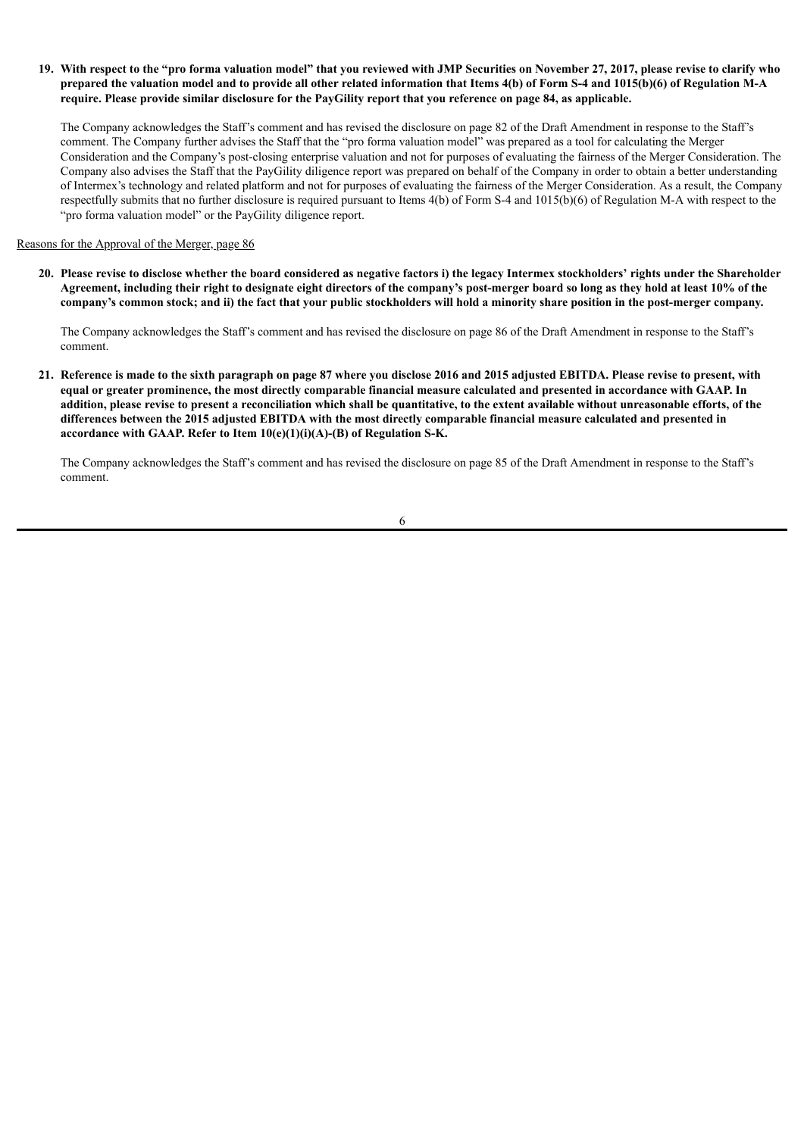# 19. With respect to the "pro forma valuation model" that you reviewed with JMP Securities on November 27, 2017, please revise to clarify who prepared the valuation model and to provide all other related information that Items 4(b) of Form S-4 and 1015(b)(6) of Regulation M-A require. Please provide similar disclosure for the PayGility report that you reference on page 84, as applicable.

The Company acknowledges the Staff's comment and has revised the disclosure on page 82 of the Draft Amendment in response to the Staff's comment. The Company further advises the Staff that the "pro forma valuation model" was prepared as a tool for calculating the Merger Consideration and the Company's post-closing enterprise valuation and not for purposes of evaluating the fairness of the Merger Consideration. The Company also advises the Staff that the PayGility diligence report was prepared on behalf of the Company in order to obtain a better understanding of Intermex's technology and related platform and not for purposes of evaluating the fairness of the Merger Consideration. As a result, the Company respectfully submits that no further disclosure is required pursuant to Items 4(b) of Form S-4 and 1015(b)(6) of Regulation M-A with respect to the "pro forma valuation model" or the PayGility diligence report.

# Reasons for the Approval of the Merger, page 86

20. Please revise to disclose whether the board considered as negative factors i) the legacy Intermex stockholders' rights under the Shareholder Agreement, including their right to designate eight directors of the company's post-merger board so long as they hold at least 10% of the company's common stock; and ii) the fact that your public stockholders will hold a minority share position in the post-merger company.

The Company acknowledges the Staff's comment and has revised the disclosure on page 86 of the Draft Amendment in response to the Staff's comment.

21. Reference is made to the sixth paragraph on page 87 where you disclose 2016 and 2015 adjusted EBITDA. Please revise to present, with equal or greater prominence, the most directly comparable financial measure calculated and presented in accordance with GAAP. In addition, please revise to present a reconciliation which shall be quantitative, to the extent available without unreasonable efforts, of the differences between the 2015 adjusted EBITDA with the most directly comparable financial measure calculated and presented in **accordance with GAAP. Refer to Item 10(e)(1)(i)(A)-(B) of Regulation S-K.**

The Company acknowledges the Staff's comment and has revised the disclosure on page 85 of the Draft Amendment in response to the Staff's comment.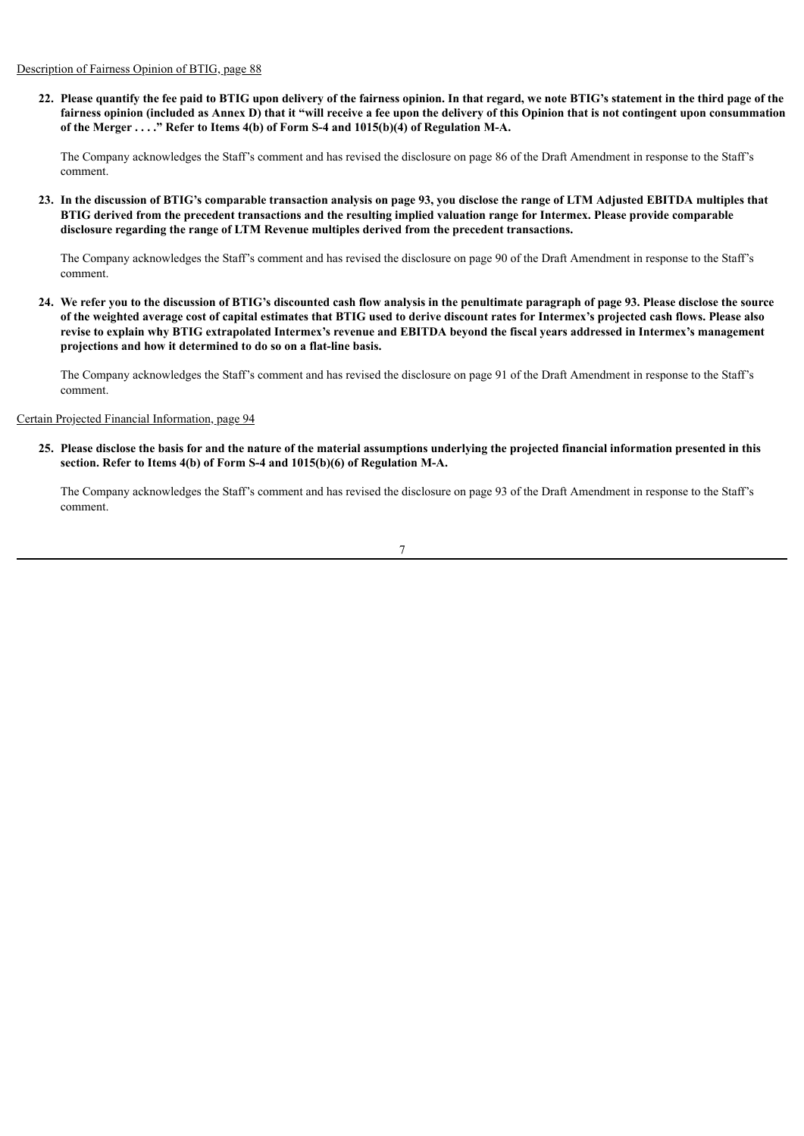Description of Fairness Opinion of BTIG, page 88

22. Please quantify the fee paid to BTIG upon delivery of the fairness opinion. In that regard, we note BTIG's statement in the third page of the fairness opinion (included as Annex D) that it "will receive a fee upon the delivery of this Opinion that is not contingent upon consummation **of the Merger . . . ." Refer to Items 4(b) of Form S-4 and 1015(b)(4) of Regulation M-A.**

The Company acknowledges the Staff's comment and has revised the disclosure on page 86 of the Draft Amendment in response to the Staff's comment.

23. In the discussion of BTIG's comparable transaction analysis on page 93, you disclose the range of LTM Adjusted EBITDA multiples that BTIG derived from the precedent transactions and the resulting implied valuation range for Intermex. Please provide comparable **disclosure regarding the range of LTM Revenue multiples derived from the precedent transactions.**

The Company acknowledges the Staff's comment and has revised the disclosure on page 90 of the Draft Amendment in response to the Staff's comment.

24. We refer you to the discussion of BTIG's discounted cash flow analysis in the penultimate paragraph of page 93. Please disclose the source of the weighted average cost of capital estimates that BTIG used to derive discount rates for Intermex's projected cash flows. Please also revise to explain why BTIG extrapolated Intermex's revenue and EBITDA beyond the fiscal years addressed in Intermex's management **projections and how it determined to do so on a flat-line basis.**

The Company acknowledges the Staff's comment and has revised the disclosure on page 91 of the Draft Amendment in response to the Staff's comment.

# Certain Projected Financial Information, page 94

25. Please disclose the basis for and the nature of the material assumptions underlying the projected financial information presented in this **section. Refer to Items 4(b) of Form S-4 and 1015(b)(6) of Regulation M-A.**

The Company acknowledges the Staff's comment and has revised the disclosure on page 93 of the Draft Amendment in response to the Staff's comment.

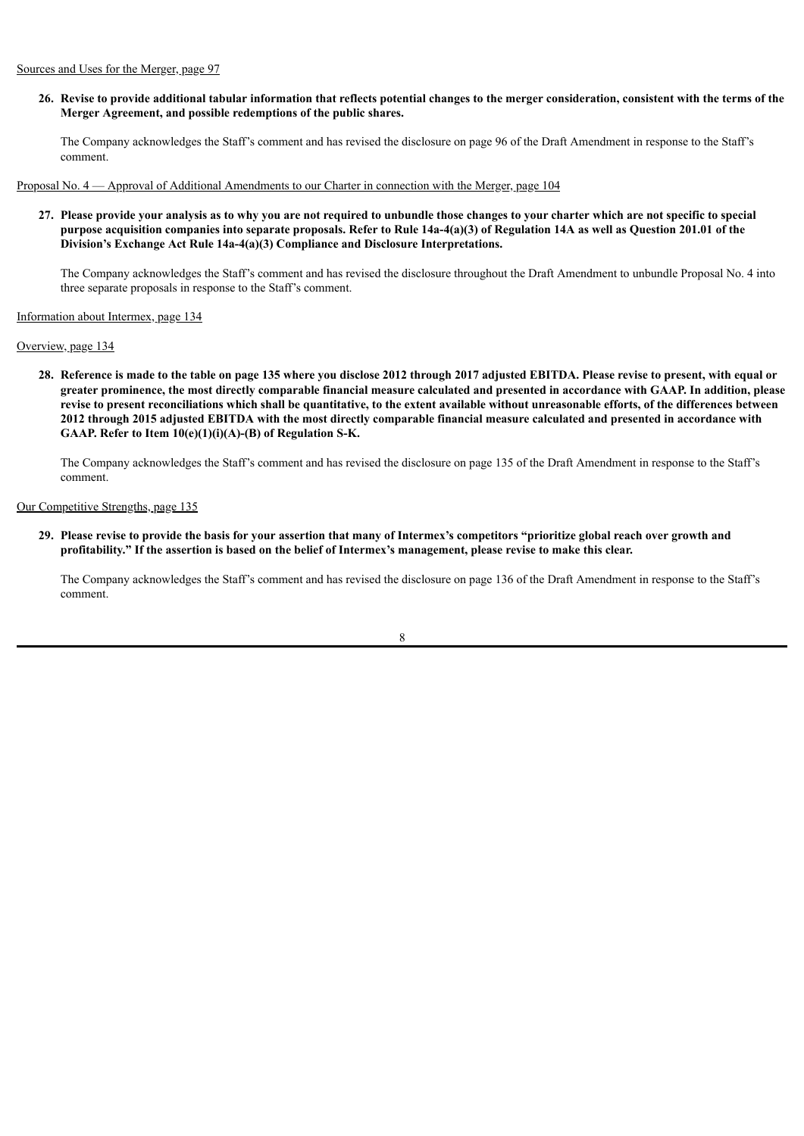26. Revise to provide additional tabular information that reflects potential changes to the merger consideration, consistent with the terms of the **Merger Agreement, and possible redemptions of the public shares.**

The Company acknowledges the Staff's comment and has revised the disclosure on page 96 of the Draft Amendment in response to the Staff's comment.

Proposal No. 4 — Approval of Additional Amendments to our Charter in connection with the Merger, page 104

27. Please provide your analysis as to why you are not required to unbundle those changes to your charter which are not specific to special purpose acquisition companies into separate proposals. Refer to Rule 14a-4(a)(3) of Regulation 14A as well as Question 201.01 of the **Division's Exchange Act Rule 14a-4(a)(3) Compliance and Disclosure Interpretations.**

The Company acknowledges the Staff's comment and has revised the disclosure throughout the Draft Amendment to unbundle Proposal No. 4 into three separate proposals in response to the Staff's comment.

# Information about Intermex, page 134

#### Overview, page 134

28. Reference is made to the table on page 135 where you disclose 2012 through 2017 adjusted EBITDA. Please revise to present, with equal or greater prominence, the most directly comparable financial measure calculated and presented in accordance with GAAP. In addition, please revise to present reconciliations which shall be quantitative, to the extent available without unreasonable efforts, of the differences between 2012 through 2015 adjusted EBITDA with the most directly comparable financial measure calculated and presented in accordance with **GAAP. Refer to Item 10(e)(1)(i)(A)-(B) of Regulation S-K.**

The Company acknowledges the Staff's comment and has revised the disclosure on page 135 of the Draft Amendment in response to the Staff's comment.

# Our Competitive Strengths, page 135

29. Please revise to provide the basis for your assertion that many of Intermex's competitors "prioritize global reach over growth and profitability." If the assertion is based on the belief of Intermex's management, please revise to make this clear.

The Company acknowledges the Staff's comment and has revised the disclosure on page 136 of the Draft Amendment in response to the Staff's comment.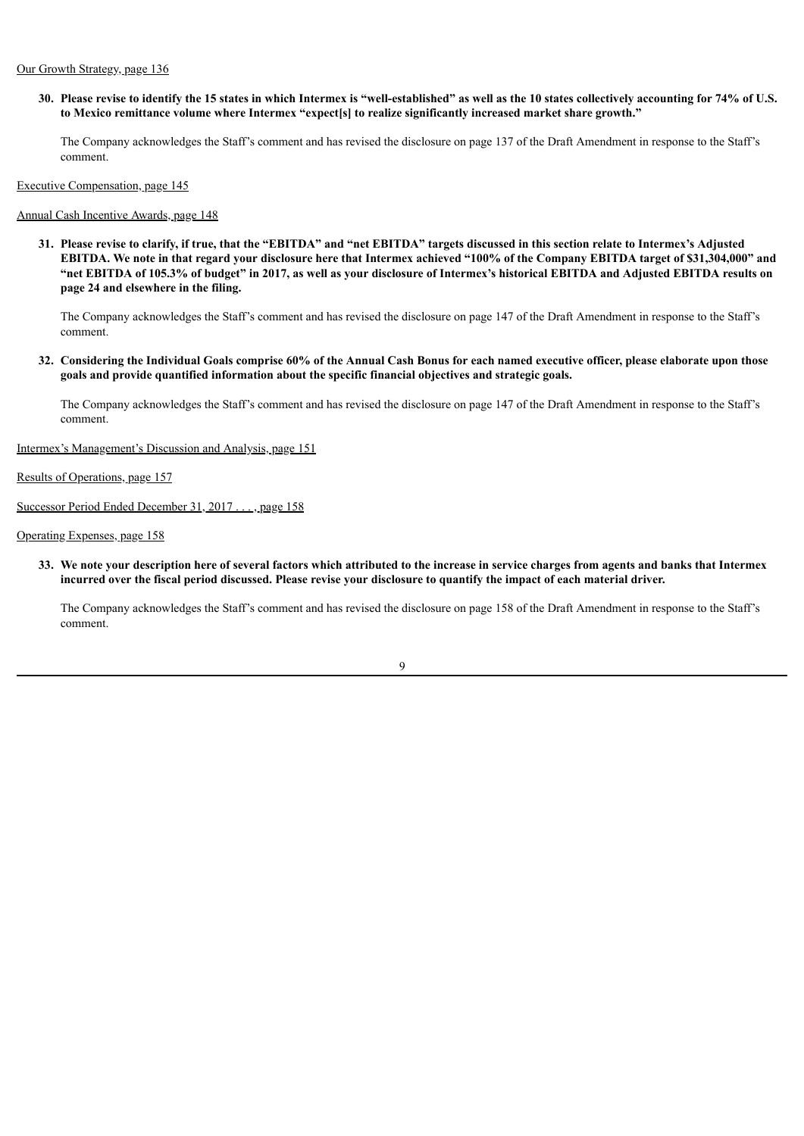# Our Growth Strategy, page 136

30. Please revise to identify the 15 states in which Intermex is "well-established" as well as the 10 states collectively accounting for 74% of U.S. **to Mexico remittance volume where Intermex "expect[s] to realize significantly increased market share growth."**

The Company acknowledges the Staff's comment and has revised the disclosure on page 137 of the Draft Amendment in response to the Staff's comment.

Executive Compensation, page 145

## Annual Cash Incentive Awards, page 148

31. Please revise to clarify, if true, that the "EBITDA" and "net EBITDA" targets discussed in this section relate to Intermex's Adjusted EBITDA. We note in that regard your disclosure here that Intermex achieved "100% of the Company EBITDA target of \$31,304,000" and "net EBITDA of 105.3% of budget" in 2017, as well as your disclosure of Intermex's historical EBITDA and Adjusted EBITDA results on **page 24 and elsewhere in the filing.**

The Company acknowledges the Staff's comment and has revised the disclosure on page 147 of the Draft Amendment in response to the Staff's comment.

32. Considering the Individual Goals comprise 60% of the Annual Cash Bonus for each named executive officer, please elaborate upon those **goals and provide quantified information about the specific financial objectives and strategic goals.**

The Company acknowledges the Staff's comment and has revised the disclosure on page 147 of the Draft Amendment in response to the Staff's comment.

Intermex's Management's Discussion and Analysis, page 151

Results of Operations, page 157

Successor Period Ended December 31, 2017 . . . , page 158

Operating Expenses, page 158

33. We note your description here of several factors which attributed to the increase in service charges from agents and banks that Intermex incurred over the fiscal period discussed. Please revise your disclosure to quantify the impact of each material driver.

The Company acknowledges the Staff's comment and has revised the disclosure on page 158 of the Draft Amendment in response to the Staff's comment.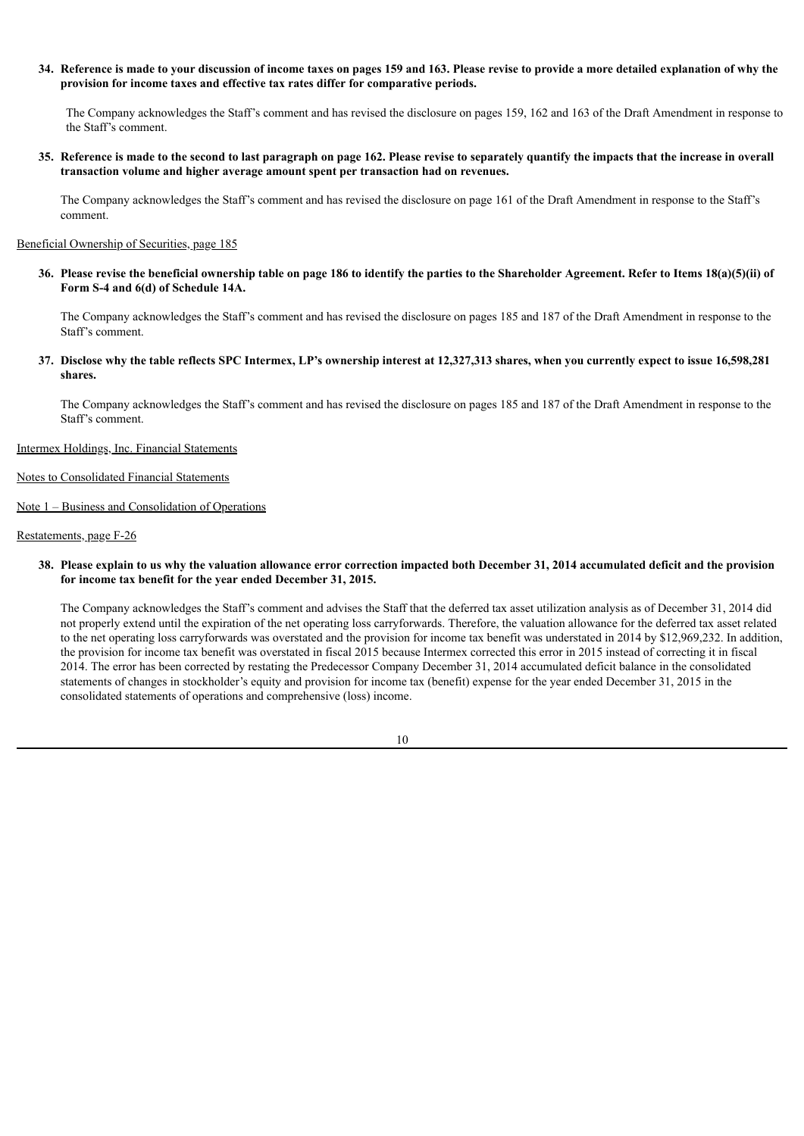34. Reference is made to your discussion of income taxes on pages 159 and 163. Please revise to provide a more detailed explanation of why the **provision for income taxes and effective tax rates differ for comparative periods.**

The Company acknowledges the Staff's comment and has revised the disclosure on pages 159, 162 and 163 of the Draft Amendment in response to the Staff's comment.

35. Reference is made to the second to last paragraph on page 162. Please revise to separately quantify the impacts that the increase in overall **transaction volume and higher average amount spent per transaction had on revenues.**

The Company acknowledges the Staff's comment and has revised the disclosure on page 161 of the Draft Amendment in response to the Staff's comment.

#### Beneficial Ownership of Securities, page 185

36. Please revise the beneficial ownership table on page 186 to identify the parties to the Shareholder Agreement. Refer to Items 18(a)(5)(ii) of **Form S-4 and 6(d) of Schedule 14A.**

The Company acknowledges the Staff's comment and has revised the disclosure on pages 185 and 187 of the Draft Amendment in response to the Staff's comment.

37. Disclose why the table reflects SPC Intermex, LP's ownership interest at 12,327,313 shares, when you currently expect to issue 16,598,281 **shares.**

The Company acknowledges the Staff's comment and has revised the disclosure on pages 185 and 187 of the Draft Amendment in response to the Staff's comment.

Intermex Holdings, Inc. Financial Statements

## Notes to Consolidated Financial Statements

Note 1 – Business and Consolidation of Operations

# Restatements, page F-26

38. Please explain to us why the valuation allowance error correction impacted both December 31, 2014 accumulated deficit and the provision **for income tax benefit for the year ended December 31, 2015.**

The Company acknowledges the Staff's comment and advises the Staff that the deferred tax asset utilization analysis as of December 31, 2014 did not properly extend until the expiration of the net operating loss carryforwards. Therefore, the valuation allowance for the deferred tax asset related to the net operating loss carryforwards was overstated and the provision for income tax benefit was understated in 2014 by \$12,969,232. In addition, the provision for income tax benefit was overstated in fiscal 2015 because Intermex corrected this error in 2015 instead of correcting it in fiscal 2014. The error has been corrected by restating the Predecessor Company December 31, 2014 accumulated deficit balance in the consolidated statements of changes in stockholder's equity and provision for income tax (benefit) expense for the year ended December 31, 2015 in the consolidated statements of operations and comprehensive (loss) income.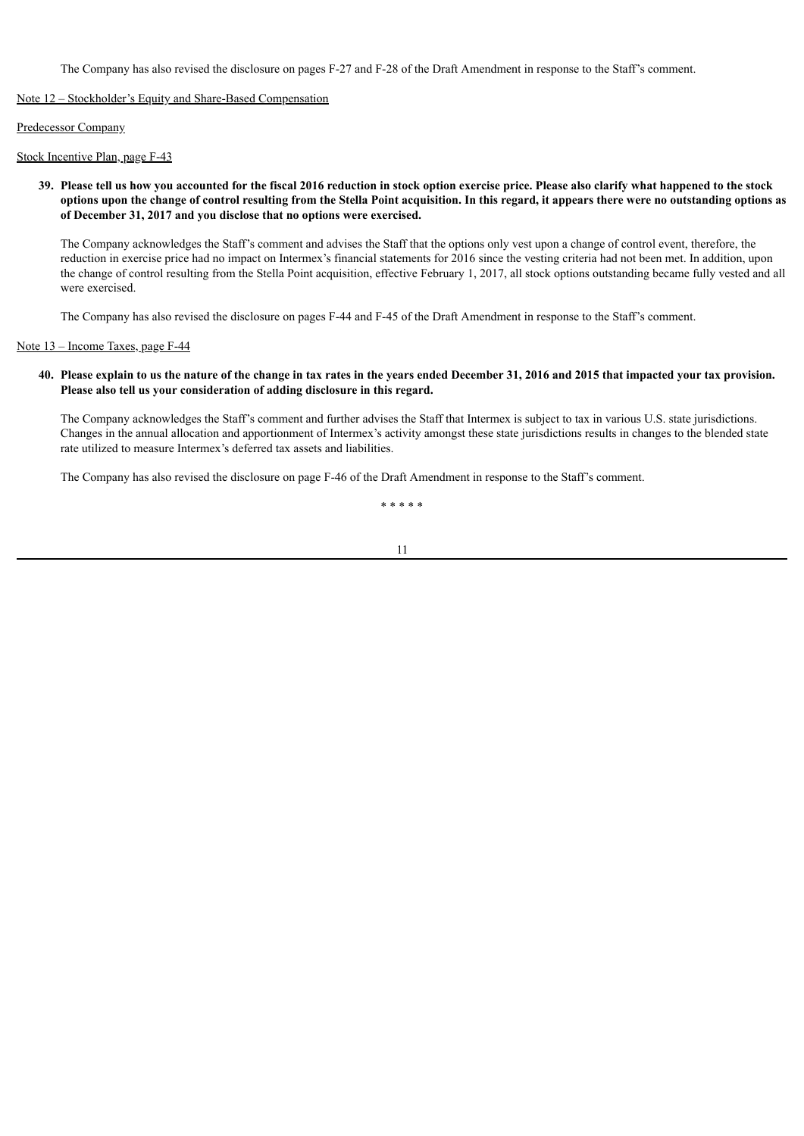The Company has also revised the disclosure on pages F-27 and F-28 of the Draft Amendment in response to the Staff's comment.

Note 12 – Stockholder's Equity and Share-Based Compensation

Predecessor Company

Stock Incentive Plan, page F-43

39. Please tell us how you accounted for the fiscal 2016 reduction in stock option exercise price. Please also clarify what happened to the stock options upon the change of control resulting from the Stella Point acquisition. In this regard, it appears there were no outstanding options as **of December 31, 2017 and you disclose that no options were exercised.**

The Company acknowledges the Staff's comment and advises the Staff that the options only vest upon a change of control event, therefore, the reduction in exercise price had no impact on Intermex's financial statements for 2016 since the vesting criteria had not been met. In addition, upon the change of control resulting from the Stella Point acquisition, effective February 1, 2017, all stock options outstanding became fully vested and all were exercised.

The Company has also revised the disclosure on pages F-44 and F-45 of the Draft Amendment in response to the Staff's comment.

# Note 13 – Income Taxes, page F-44

## 40. Please explain to us the nature of the change in tax rates in the years ended December 31, 2016 and 2015 that impacted your tax provision. **Please also tell us your consideration of adding disclosure in this regard.**

The Company acknowledges the Staff's comment and further advises the Staff that Intermex is subject to tax in various U.S. state jurisdictions. Changes in the annual allocation and apportionment of Intermex's activity amongst these state jurisdictions results in changes to the blended state rate utilized to measure Intermex's deferred tax assets and liabilities.

The Company has also revised the disclosure on page F-46 of the Draft Amendment in response to the Staff's comment.

\* \* \* \* \*

$$
1\\1
$$